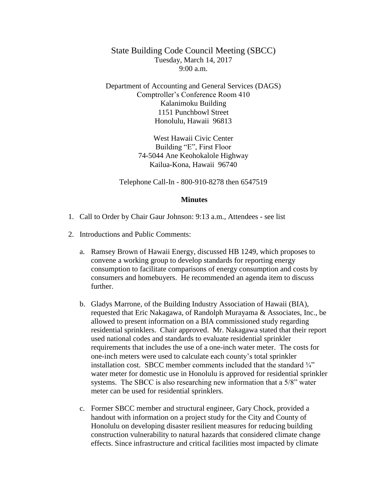State Building Code Council Meeting (SBCC) Tuesday, March 14, 2017  $9:00 a.m.$ 

Department of Accounting and General Services (DAGS) Comptroller's Conference Room 410 Kalanimoku Building 1151 Punchbowl Street Honolulu, Hawaii 96813

> West Hawaii Civic Center Building "E", First Floor 74-5044 Ane Keohokalole Highway Kailua-Kona, Hawaii 96740

Telephone Call-In - 800-910-8278 then 6547519

## **Minutes**

- 1. Call to Order by Chair Gaur Johnson: 9:13 a.m., Attendees see list
- 2. Introductions and Public Comments:
	- a. Ramsey Brown of Hawaii Energy, discussed HB 1249, which proposes to convene a working group to develop standards for reporting energy consumption to facilitate comparisons of energy consumption and costs by consumers and homebuyers. He recommended an agenda item to discuss further.
	- b. Gladys Marrone, of the Building Industry Association of Hawaii (BIA), requested that Eric Nakagawa, of Randolph Murayama & Associates, Inc., be allowed to present information on a BIA commissioned study regarding residential sprinklers. Chair approved. Mr. Nakagawa stated that their report used national codes and standards to evaluate residential sprinkler requirements that includes the use of a one-inch water meter. The costs for one-inch meters were used to calculate each county's total sprinkler installation cost. SBCC member comments included that the standard  $\frac{3}{4}$ water meter for domestic use in Honolulu is approved for residential sprinkler systems. The SBCC is also researching new information that a 5/8" water meter can be used for residential sprinklers.
	- c. Former SBCC member and structural engineer, Gary Chock, provided a handout with information on a project study for the City and County of Honolulu on developing disaster resilient measures for reducing building construction vulnerability to natural hazards that considered climate change effects. Since infrastructure and critical facilities most impacted by climate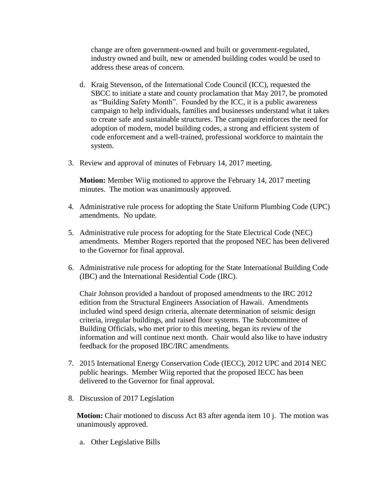change are often government-owned and built or government-regulated, industry owned and built, new or amended building codes would be used to address these areas of concern.

- d. Kraig Stevenson, of the International Code Council (ICC), requested the SBCC to initiate a state and county proclamation that May 2017, be promoted as "Building Safety Month". Founded by the ICC, it is a public awareness campaign to help individuals, families and businesses understand what it takes to create safe and sustainable structures. The campaign reinforces the need for adoption of modern, model building codes, a strong and efficient system of code enforcement and a well-trained, professional workforce to maintain the system.
- 3. Review and approval of minutes of February 14, 2017 meeting.

**Motion:** Member Wiig motioned to approve the February 14, 2017 meeting minutes. The motion was unanimously approved.

- 4. Administrative rule process for adopting the State Uniform Plumbing Code (UPC) amendments. No update.
- 5. Administrative rule process for adopting for the State Electrical Code (NEC) amendments. Member Rogers reported that the proposed NEC has been delivered to the Governor for final approval.
- 6. Administrative rule process for adopting for the State International Building Code (IBC) and the International Residential Code (IRC).

Chair Johnson provided a handout of proposed amendments to the IRC 2012 edition from the Structural Engineers Association of Hawaii. Amendments included wind speed design criteria, alternate determination of seismic design criteria, irregular buildings, and raised floor systems. The Subcommittee of Building Officials, who met prior to this meeting, began its review of the information and will continue next month. Chair would also like to have industry feedback for the proposed IBC/IRC amendments.

- 7. 2015 International Energy Conservation Code (IECC), 2012 UPC and 2014 NEC public hearings. Member Wiig reported that the proposed IECC has been delivered to the Governor for final approval.
- 8. Discussion of 2017 Legislation

**Motion:** Chair motioned to discuss Act 83 after agenda item 10 j. The motion was unanimously approved.

a. Other Legislative Bills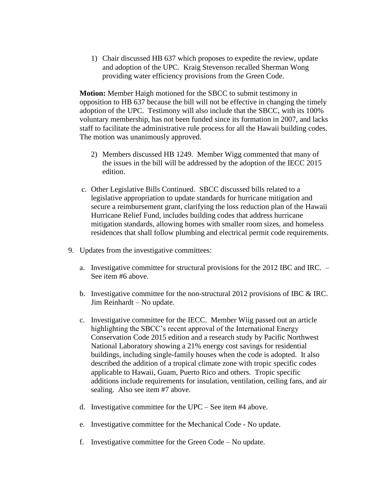1) Chair discussed HB 637 which proposes to expedite the review, update and adoption of the UPC. Kraig Stevenson recalled Sherman Wong providing water efficiency provisions from the Green Code.

**Motion:** Member Haigh motioned for the SBCC to submit testimony in opposition to HB 637 because the bill will not be effective in changing the timely adoption of the UPC. Testimony will also include that the SBCC, with its 100% voluntary membership, has not been funded since its formation in 2007, and lacks staff to facilitate the administrative rule process for all the Hawaii building codes. The motion was unanimously approved.

- 2) Members discussed HB 1249. Member Wigg commented that many of the issues in the bill will be addressed by the adoption of the IECC 2015 edition.
- c. Other Legislative Bills Continued. SBCC discussed bills related to a legislative appropriation to update standards for hurricane mitigation and secure a reimbursement grant, clarifying the loss reduction plan of the Hawaii Hurricane Relief Fund, includes building codes that address hurricane mitigation standards, allowing homes with smaller room sizes, and homeless residences that shall follow plumbing and electrical permit code requirements.
- 9. Updates from the investigative committees:
	- a. Investigative committee for structural provisions for the 2012 IBC and IRC. See item #6 above.
	- b. Investigative committee for the non-structural 2012 provisions of IBC & IRC. Jim Reinhardt – No update.
	- c. Investigative committee for the IECC. Member Wiig passed out an article highlighting the SBCC's recent approval of the International Energy Conservation Code 2015 edition and a research study by Pacific Northwest National Laboratory showing a 21% energy cost savings for residential buildings, including single-family houses when the code is adopted. It also described the addition of a tropical climate zone with tropic specific codes applicable to Hawaii, Guam, Puerto Rico and others. Tropic specific additions include requirements for insulation, ventilation, ceiling fans, and air sealing. Also see item #7 above.
	- d. Investigative committee for the UPC See item #4 above.
	- e. Investigative committee for the Mechanical Code No update.
	- f. Investigative committee for the Green Code No update.